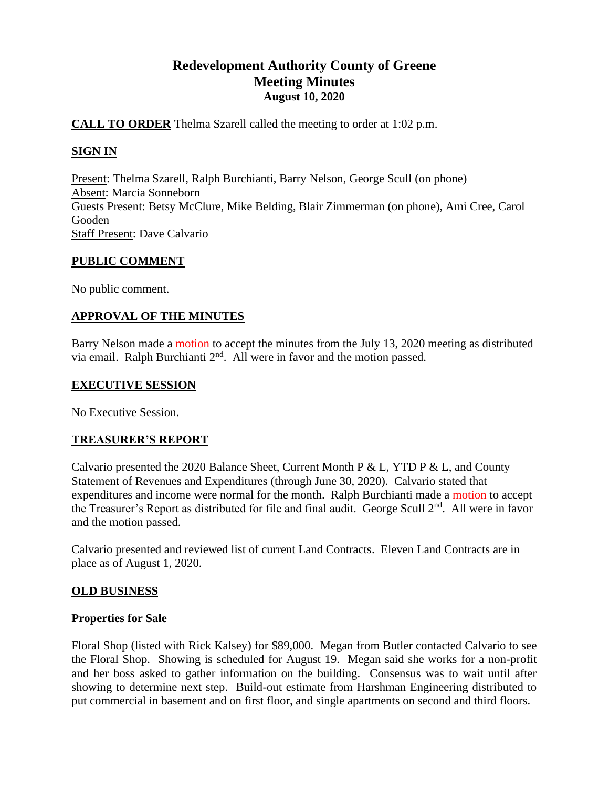# **Redevelopment Authority County of Greene Meeting Minutes August 10, 2020**

# **CALL TO ORDER** Thelma Szarell called the meeting to order at 1:02 p.m.

# **SIGN IN**

Present: Thelma Szarell, Ralph Burchianti, Barry Nelson, George Scull (on phone) Absent: Marcia Sonneborn Guests Present: Betsy McClure, Mike Belding, Blair Zimmerman (on phone), Ami Cree, Carol Gooden Staff Present: Dave Calvario

# **PUBLIC COMMENT**

No public comment.

# **APPROVAL OF THE MINUTES**

Barry Nelson made a motion to accept the minutes from the July 13, 2020 meeting as distributed via email. Ralph Burchianti 2<sup>nd</sup>. All were in favor and the motion passed.

# **EXECUTIVE SESSION**

No Executive Session.

# **TREASURER'S REPORT**

Calvario presented the 2020 Balance Sheet, Current Month P & L, YTD P & L, and County Statement of Revenues and Expenditures (through June 30, 2020). Calvario stated that expenditures and income were normal for the month. Ralph Burchianti made a motion to accept the Treasurer's Report as distributed for file and final audit. George Scull 2<sup>nd</sup>. All were in favor and the motion passed.

Calvario presented and reviewed list of current Land Contracts. Eleven Land Contracts are in place as of August 1, 2020.

# **OLD BUSINESS**

# **Properties for Sale**

Floral Shop (listed with Rick Kalsey) for \$89,000. Megan from Butler contacted Calvario to see the Floral Shop. Showing is scheduled for August 19. Megan said she works for a non-profit and her boss asked to gather information on the building. Consensus was to wait until after showing to determine next step. Build-out estimate from Harshman Engineering distributed to put commercial in basement and on first floor, and single apartments on second and third floors.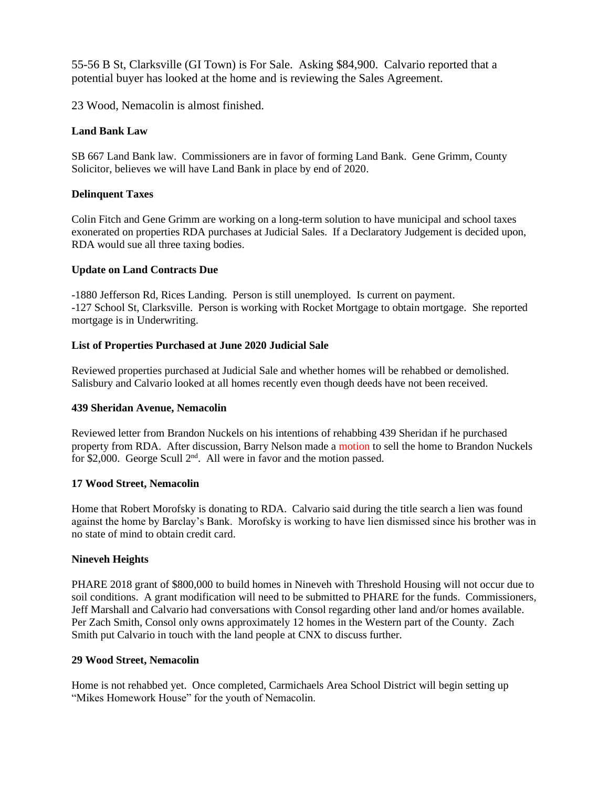55-56 B St, Clarksville (GI Town) is For Sale. Asking \$84,900. Calvario reported that a potential buyer has looked at the home and is reviewing the Sales Agreement.

23 Wood, Nemacolin is almost finished.

#### **Land Bank Law**

SB 667 Land Bank law. Commissioners are in favor of forming Land Bank. Gene Grimm, County Solicitor, believes we will have Land Bank in place by end of 2020.

### **Delinquent Taxes**

Colin Fitch and Gene Grimm are working on a long-term solution to have municipal and school taxes exonerated on properties RDA purchases at Judicial Sales. If a Declaratory Judgement is decided upon, RDA would sue all three taxing bodies.

#### **Update on Land Contracts Due**

-1880 Jefferson Rd, Rices Landing. Person is still unemployed. Is current on payment. -127 School St, Clarksville. Person is working with Rocket Mortgage to obtain mortgage. She reported mortgage is in Underwriting.

### **List of Properties Purchased at June 2020 Judicial Sale**

Reviewed properties purchased at Judicial Sale and whether homes will be rehabbed or demolished. Salisbury and Calvario looked at all homes recently even though deeds have not been received.

#### **439 Sheridan Avenue, Nemacolin**

Reviewed letter from Brandon Nuckels on his intentions of rehabbing 439 Sheridan if he purchased property from RDA. After discussion, Barry Nelson made a motion to sell the home to Brandon Nuckels for \$2,000. George Scull  $2<sup>nd</sup>$ . All were in favor and the motion passed.

#### **17 Wood Street, Nemacolin**

Home that Robert Morofsky is donating to RDA. Calvario said during the title search a lien was found against the home by Barclay's Bank. Morofsky is working to have lien dismissed since his brother was in no state of mind to obtain credit card.

#### **Nineveh Heights**

PHARE 2018 grant of \$800,000 to build homes in Nineveh with Threshold Housing will not occur due to soil conditions. A grant modification will need to be submitted to PHARE for the funds. Commissioners, Jeff Marshall and Calvario had conversations with Consol regarding other land and/or homes available. Per Zach Smith, Consol only owns approximately 12 homes in the Western part of the County. Zach Smith put Calvario in touch with the land people at CNX to discuss further.

#### **29 Wood Street, Nemacolin**

Home is not rehabbed yet. Once completed, Carmichaels Area School District will begin setting up "Mikes Homework House" for the youth of Nemacolin.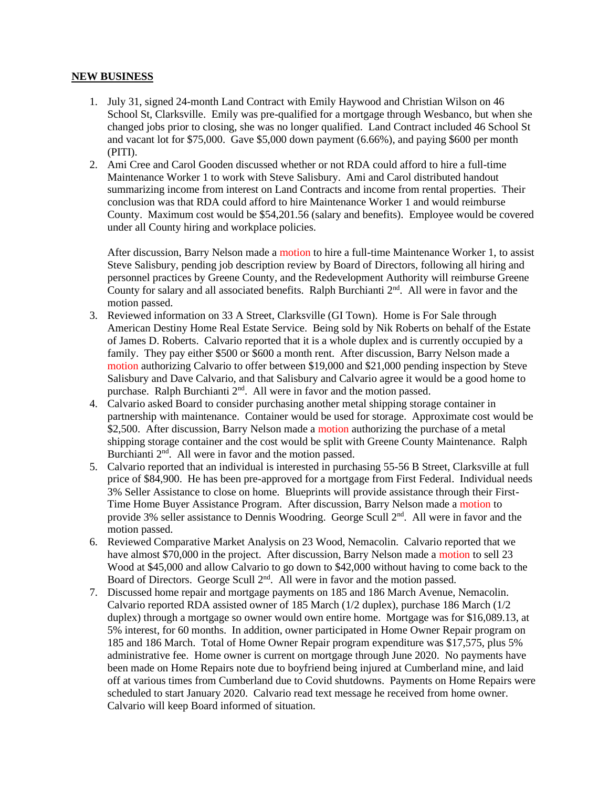#### **NEW BUSINESS**

- 1. July 31, signed 24-month Land Contract with Emily Haywood and Christian Wilson on 46 School St, Clarksville. Emily was pre-qualified for a mortgage through Wesbanco, but when she changed jobs prior to closing, she was no longer qualified. Land Contract included 46 School St and vacant lot for \$75,000. Gave \$5,000 down payment (6.66%), and paying \$600 per month (PITI).
- 2. Ami Cree and Carol Gooden discussed whether or not RDA could afford to hire a full-time Maintenance Worker 1 to work with Steve Salisbury. Ami and Carol distributed handout summarizing income from interest on Land Contracts and income from rental properties. Their conclusion was that RDA could afford to hire Maintenance Worker 1 and would reimburse County. Maximum cost would be \$54,201.56 (salary and benefits). Employee would be covered under all County hiring and workplace policies.

After discussion, Barry Nelson made a motion to hire a full-time Maintenance Worker 1, to assist Steve Salisbury, pending job description review by Board of Directors, following all hiring and personnel practices by Greene County, and the Redevelopment Authority will reimburse Greene County for salary and all associated benefits. Ralph Burchianti  $2<sup>nd</sup>$ . All were in favor and the motion passed.

- 3. Reviewed information on 33 A Street, Clarksville (GI Town). Home is For Sale through American Destiny Home Real Estate Service. Being sold by Nik Roberts on behalf of the Estate of James D. Roberts. Calvario reported that it is a whole duplex and is currently occupied by a family. They pay either \$500 or \$600 a month rent. After discussion, Barry Nelson made a motion authorizing Calvario to offer between \$19,000 and \$21,000 pending inspection by Steve Salisbury and Dave Calvario, and that Salisbury and Calvario agree it would be a good home to purchase. Ralph Burchianti 2<sup>nd</sup>. All were in favor and the motion passed.
- 4. Calvario asked Board to consider purchasing another metal shipping storage container in partnership with maintenance. Container would be used for storage. Approximate cost would be \$2,500. After discussion, Barry Nelson made a motion authorizing the purchase of a metal shipping storage container and the cost would be split with Greene County Maintenance. Ralph Burchianti  $2<sup>nd</sup>$ . All were in favor and the motion passed.
- 5. Calvario reported that an individual is interested in purchasing 55-56 B Street, Clarksville at full price of \$84,900. He has been pre-approved for a mortgage from First Federal. Individual needs 3% Seller Assistance to close on home. Blueprints will provide assistance through their First-Time Home Buyer Assistance Program. After discussion, Barry Nelson made a motion to provide 3% seller assistance to Dennis Woodring. George Scull 2<sup>nd</sup>. All were in favor and the motion passed.
- 6. Reviewed Comparative Market Analysis on 23 Wood, Nemacolin. Calvario reported that we have almost \$70,000 in the project. After discussion, Barry Nelson made a motion to sell 23 Wood at \$45,000 and allow Calvario to go down to \$42,000 without having to come back to the Board of Directors. George Scull 2<sup>nd</sup>. All were in favor and the motion passed.
- 7. Discussed home repair and mortgage payments on 185 and 186 March Avenue, Nemacolin. Calvario reported RDA assisted owner of 185 March (1/2 duplex), purchase 186 March (1/2 duplex) through a mortgage so owner would own entire home. Mortgage was for \$16,089.13, at 5% interest, for 60 months. In addition, owner participated in Home Owner Repair program on 185 and 186 March. Total of Home Owner Repair program expenditure was \$17,575, plus 5% administrative fee. Home owner is current on mortgage through June 2020. No payments have been made on Home Repairs note due to boyfriend being injured at Cumberland mine, and laid off at various times from Cumberland due to Covid shutdowns. Payments on Home Repairs were scheduled to start January 2020. Calvario read text message he received from home owner. Calvario will keep Board informed of situation.